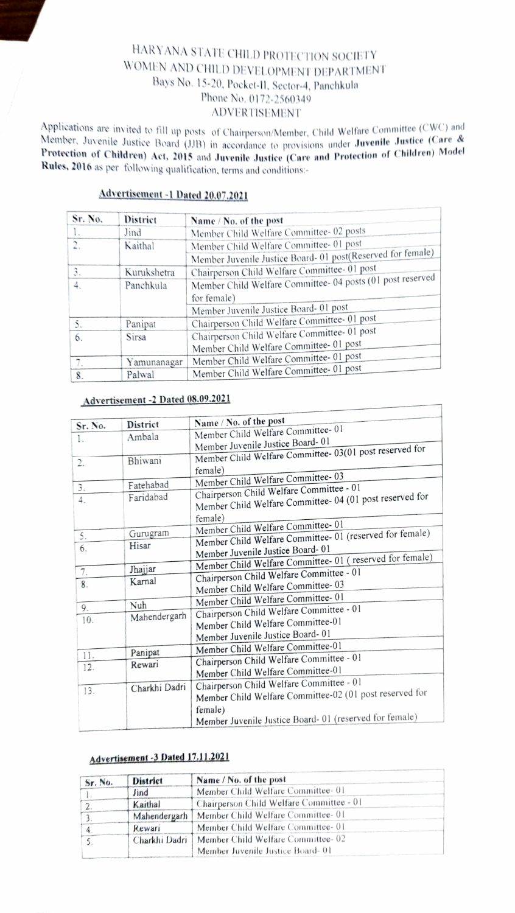# HARYANA STATE CHILD PROTECTION SOCIETY WOMEN AND CHILD DEVELOPMENT DEPARTMENT<br>Bays No. 15-20, Pocket-II, Sector-4, Panchkula Phone No, 0172-2560349 ADVERTISEMENT

Applications are invited to fill up posts of Chairperson/Member, Child Welfare Committee (CWC) and Member, Juvenile Justice Board (JJB) in accordance to provisions under **Juvenile Justice (Care &** Protection of Children) Act, 2015 and Juvenile Justice (Care and Protection of Children) Model Rules, 2016 as per following qualification, terms and conditions:-

# Advertisement -1 Dated 20.07.2021

| Sr. No.          | <b>District</b> | Name / No. of the post                                      |
|------------------|-----------------|-------------------------------------------------------------|
| $\mathbf{1}$     | Jind            | Member Child Welfare Committee- 02 posts                    |
| $\overline{2}$ . | Kaithal         | Member Child Welfare Committee- 01 post                     |
|                  |                 | Member Juvenile Justice Board- 01 post(Reserved for female) |
| 3.               | Kurukshetra     | Chairperson Child Welfare Committee- 01 post                |
| $\overline{4}$ . | Panchkula       | Member Child Welfare Committee- 04 posts (01 post reserved  |
|                  |                 | for female)                                                 |
|                  |                 | Member Juvenile Justice Board- 01 post                      |
| 5.               | Panipat         | Chairperson Child Welfare Committee- 01 post                |
| 6.               | <b>Sirsa</b>    | Chairperson Child Welfare Committee- 01 post                |
|                  |                 | Member Child Welfare Committee- 01 post                     |
| 7.               | Yamunanagar     | Member Child Welfare Committee- 01 post                     |
| 8.               | Palwal          | Member Child Welfare Committee- 01 post                     |

### Advertisement-2 Dated 08.09.2021

| District | Name / No. of the post                                                                                                                   |  |  |  |  |
|----------|------------------------------------------------------------------------------------------------------------------------------------------|--|--|--|--|
| Ambala   | Member Child Welfare Committee-01                                                                                                        |  |  |  |  |
|          | Member Juvenile Justice Board-01                                                                                                         |  |  |  |  |
|          | Member Child Welfare Committee- 03(01 post reserved for                                                                                  |  |  |  |  |
|          | female)                                                                                                                                  |  |  |  |  |
|          | Member Child Welfare Committee-03                                                                                                        |  |  |  |  |
|          | Chairperson Child Welfare Committee - 01                                                                                                 |  |  |  |  |
|          | Member Child Welfare Committee- 04 (01 post reserved for                                                                                 |  |  |  |  |
|          | female)                                                                                                                                  |  |  |  |  |
|          | Member Child Welfare Committee- 01                                                                                                       |  |  |  |  |
|          | Member Child Welfare Committee- 01 (reserved for female)                                                                                 |  |  |  |  |
|          | Member Juvenile Justice Board-01                                                                                                         |  |  |  |  |
|          | Member Child Welfare Committee- 01 (reserved for female)                                                                                 |  |  |  |  |
|          | Chairperson Child Welfare Committee - 01                                                                                                 |  |  |  |  |
|          | Member Child Welfare Committee-03                                                                                                        |  |  |  |  |
|          | Member Child Welfare Committee-01                                                                                                        |  |  |  |  |
|          | Chairperson Child Welfare Committee - 01                                                                                                 |  |  |  |  |
|          | Member Child Welfare Committee-01                                                                                                        |  |  |  |  |
|          | Member Juvenile Justice Board-01                                                                                                         |  |  |  |  |
|          | Member Child Welfare Committee-01                                                                                                        |  |  |  |  |
|          | Chairperson Child Welfare Committee - 01                                                                                                 |  |  |  |  |
|          | Member Child Welfare Committee-01                                                                                                        |  |  |  |  |
|          |                                                                                                                                          |  |  |  |  |
|          | Chairperson Child Welfare Committee - 01<br>Member Child Welfare Committee-02 (01 post reserved for                                      |  |  |  |  |
|          |                                                                                                                                          |  |  |  |  |
|          | female)                                                                                                                                  |  |  |  |  |
|          | Member Juvenile Justice Board- 01 (reserved for female)                                                                                  |  |  |  |  |
|          | Bhiwani<br>Fatehabad<br>Faridabad<br>Gurugram<br>Hisar<br>Jhajjar<br>Karnal<br>Nuh<br>Mahendergarh<br>Panipat<br>Rewari<br>Charkhi Dadri |  |  |  |  |

# Advertisement -3 Dated 17.11.2021

| Sr. No. | District | Name / No. of the post                                                                |  |
|---------|----------|---------------------------------------------------------------------------------------|--|
|         | Jind     | Member Child Welfare Committee- 01                                                    |  |
|         | Kaithal  | Chairperson Child Welfare Committee - 01                                              |  |
|         |          | Mahendergarh   Member Child Welfare Committee-01                                      |  |
|         | Rewari   | Member Child Welfare Committee- 01                                                    |  |
|         |          | Charkhi Dadri   Member Child Welfare Committee-02<br>Member Juvenile Justice Board-01 |  |